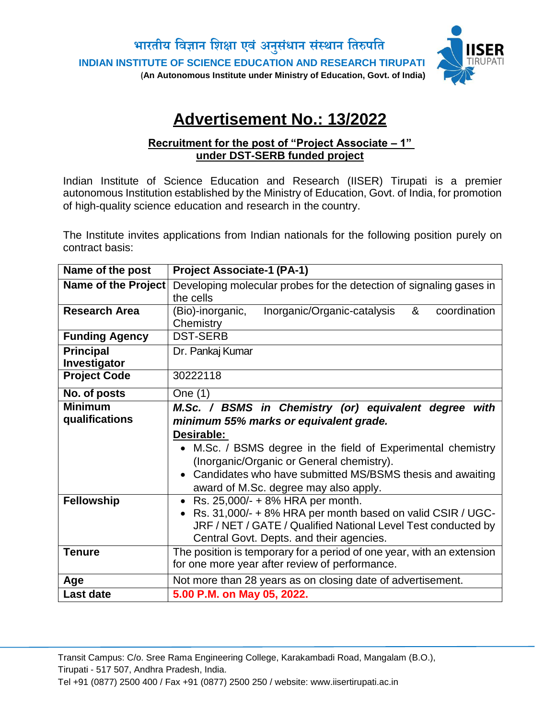

# **Advertisement No.: 13/2022**

#### **Recruitment for the post of "Project Associate – 1" under DST-SERB funded project**

Indian Institute of Science Education and Research (IISER) Tirupati is a premier autonomous Institution established by the Ministry of Education, Govt. of India, for promotion of high-quality science education and research in the country.

The Institute invites applications from Indian nationals for the following position purely on contract basis:

| Name of the post                 | <b>Project Associate-1 (PA-1)</b>                                                                                                                                                                                                                                                                                                  |
|----------------------------------|------------------------------------------------------------------------------------------------------------------------------------------------------------------------------------------------------------------------------------------------------------------------------------------------------------------------------------|
| Name of the Project              | Developing molecular probes for the detection of signaling gases in<br>the cells                                                                                                                                                                                                                                                   |
| <b>Research Area</b>             | Inorganic/Organic-catalysis<br>&<br>(Bio)-inorganic,<br>coordination<br>Chemistry                                                                                                                                                                                                                                                  |
| <b>Funding Agency</b>            | <b>DST-SERB</b>                                                                                                                                                                                                                                                                                                                    |
| <b>Principal</b><br>Investigator | Dr. Pankaj Kumar                                                                                                                                                                                                                                                                                                                   |
| <b>Project Code</b>              | 30222118                                                                                                                                                                                                                                                                                                                           |
| No. of posts                     | One (1)                                                                                                                                                                                                                                                                                                                            |
| <b>Minimum</b><br>qualifications | M.Sc. / BSMS in Chemistry (or) equivalent degree with<br>minimum 55% marks or equivalent grade.<br>Desirable:<br>• M.Sc. / BSMS degree in the field of Experimental chemistry<br>(Inorganic/Organic or General chemistry).<br>• Candidates who have submitted MS/BSMS thesis and awaiting<br>award of M.Sc. degree may also apply. |
| <b>Fellowship</b>                | • Rs. $25,000/ - + 8\%$ HRA per month.<br>Rs. 31,000/- + 8% HRA per month based on valid CSIR / UGC-<br>JRF / NET / GATE / Qualified National Level Test conducted by<br>Central Govt. Depts. and their agencies.                                                                                                                  |
| <b>Tenure</b>                    | The position is temporary for a period of one year, with an extension<br>for one more year after review of performance.                                                                                                                                                                                                            |
| Age                              | Not more than 28 years as on closing date of advertisement.                                                                                                                                                                                                                                                                        |
| <b>Last date</b>                 | 5.00 P.M. on May 05, 2022.                                                                                                                                                                                                                                                                                                         |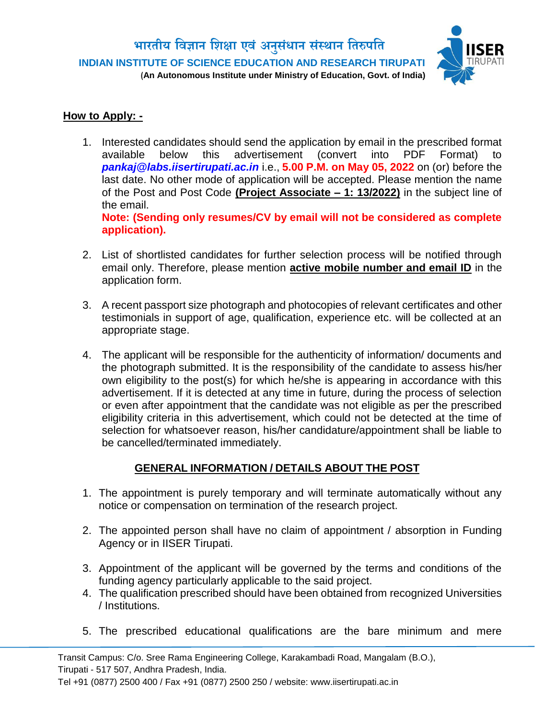

### **How to Apply: -**

1. Interested candidates should send the application by email in the prescribed format available below this advertisement (convert into PDF Format) to *pankaj@labs.iisertirupati.ac.in* i.e., **5.00 P.M. on May 05, 2022** on (or) before the last date. No other mode of application will be accepted. Please mention the name of the Post and Post Code **(Project Associate – 1: 13/2022)** in the subject line of the email. **Note: (Sending only resumes/CV by email will not be considered as complete** 

**application).**

- 2. List of shortlisted candidates for further selection process will be notified through email only. Therefore, please mention **active mobile number and email ID** in the application form.
- 3. A recent passport size photograph and photocopies of relevant certificates and other testimonials in support of age, qualification, experience etc. will be collected at an appropriate stage.
- 4. The applicant will be responsible for the authenticity of information/ documents and the photograph submitted. It is the responsibility of the candidate to assess his/her own eligibility to the post(s) for which he/she is appearing in accordance with this advertisement. If it is detected at any time in future, during the process of selection or even after appointment that the candidate was not eligible as per the prescribed eligibility criteria in this advertisement, which could not be detected at the time of selection for whatsoever reason, his/her candidature/appointment shall be liable to be cancelled/terminated immediately.

## **GENERAL INFORMATION / DETAILS ABOUT THE POST**

- 1. The appointment is purely temporary and will terminate automatically without any notice or compensation on termination of the research project.
- 2. The appointed person shall have no claim of appointment / absorption in Funding Agency or in IISER Tirupati.
- 3. Appointment of the applicant will be governed by the terms and conditions of the funding agency particularly applicable to the said project.
- 4. The qualification prescribed should have been obtained from recognized Universities / Institutions.
- 5. The prescribed educational qualifications are the bare minimum and mere